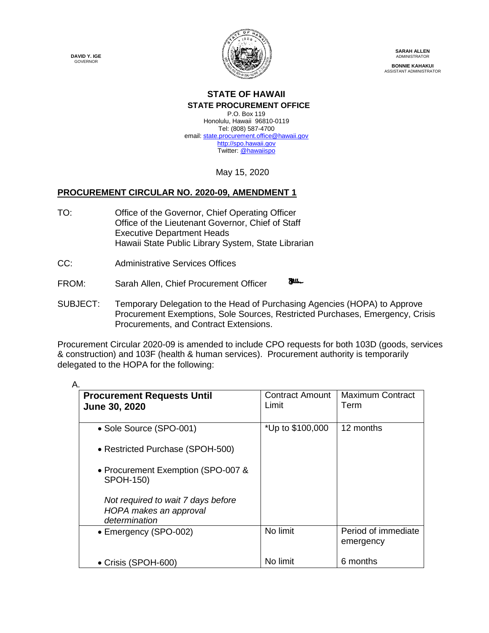**DAVID Y. IGE GOVERNOR** 



**SARAH ALLEN** ADMINISTRATOR **BONNIE KAHAKUI** ASSISTANT ADMINISTRATOR

# **STATE OF HAWAII**

**STATE PROCUREMENT OFFICE** P.O. Box 119 Honolulu, Hawaii 96810-0119 Tel: (808) 587-4700 email[: state.procurement.office@hawaii.gov](mailto:state.procurement.office@hawaii.gov) [http://spo.hawaii.gov](http://spo.hawaii.gov/) Twitter: [@hawaiispo](https://twitter.com/hawaiispo)

May 15, 2020

## **PROCUREMENT CIRCULAR NO. 2020-09, AMENDMENT 1**

- TO: Office of the Governor, Chief Operating Officer Office of the Lieutenant Governor, Chief of Staff Executive Department Heads Hawaii State Public Library System, State Librarian
- CC: Administrative Services Offices
- **Faller** FROM: Sarah Allen, Chief Procurement Officer
- SUBJECT: Temporary Delegation to the Head of Purchasing Agencies (HOPA) to Approve Procurement Exemptions, Sole Sources, Restricted Purchases, Emergency, Crisis Procurements, and Contract Extensions.

Procurement Circular 2020-09 is amended to include CPO requests for both 103D (goods, services & construction) and 103F (health & human services). Procurement authority is temporarily delegated to the HOPA for the following:

| <b>Procurement Requests Until</b>                                             | <b>Contract Amount</b> | <b>Maximum Contract</b>          |
|-------------------------------------------------------------------------------|------------------------|----------------------------------|
| <b>June 30, 2020</b>                                                          | Limit                  | Term                             |
|                                                                               |                        |                                  |
| • Sole Source (SPO-001)                                                       | *Up to \$100,000       | 12 months                        |
| • Restricted Purchase (SPOH-500)                                              |                        |                                  |
| • Procurement Exemption (SPO-007 &<br><b>SPOH-150)</b>                        |                        |                                  |
| Not required to wait 7 days before<br>HOPA makes an approval<br>determination |                        |                                  |
| • Emergency (SPO-002)                                                         | No limit               | Period of immediate<br>emergency |
| • Crisis (SPOH-600)                                                           | No limit               | 6 months                         |

A.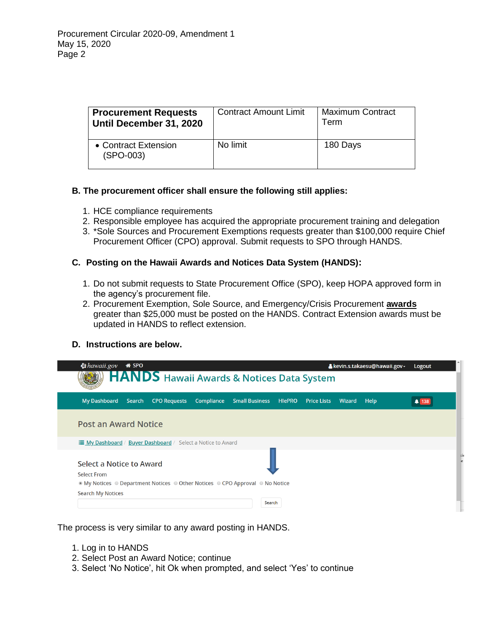| <b>Procurement Requests</b><br>Until December 31, 2020 | <b>Contract Amount Limit</b> | <b>Maximum Contract</b><br>Term |
|--------------------------------------------------------|------------------------------|---------------------------------|
| • Contract Extension<br>(SPO-003)                      | No limit                     | 180 Days                        |

## **B. The procurement officer shall ensure the following still applies:**

- 1. HCE compliance requirements
- 2. Responsible employee has acquired the appropriate procurement training and delegation
- 3. \*Sole Sources and Procurement Exemptions requests greater than \$100,000 require Chief Procurement Officer (CPO) approval. Submit requests to SPO through HANDS.

### **C. Posting on the Hawaii Awards and Notices Data System (HANDS):**

- 1. Do not submit requests to State Procurement Office (SPO), keep HOPA approved form in the agency's procurement file.
- 2. Procurement Exemption, Sole Source, and Emergency/Crisis Procurement **awards** greater than \$25,000 must be posted on the HANDS. Contract Extension awards must be updated in HANDS to reflect extension.

### **D. Instructions are below.**

| $\frac{1}{2}$ hawaii.gov $\bigcirc$ SPO                                                                                                                                | <b>HANDS</b> Hawaii Awards & Notices Data System |            |                              |                    |        | & kevin.s.takaesu@hawaii.gov ~ | Logout       |
|------------------------------------------------------------------------------------------------------------------------------------------------------------------------|--------------------------------------------------|------------|------------------------------|--------------------|--------|--------------------------------|--------------|
|                                                                                                                                                                        |                                                  |            |                              |                    |        |                                |              |
| <b>My Dashboard</b><br><b>Search</b>                                                                                                                                   | <b>CPO Requests</b>                              | Compliance | <b>Small Business HIePRO</b> | <b>Price Lists</b> | Wizard | Help                           | <b>4</b> 138 |
| <b>Post an Award Notice</b>                                                                                                                                            |                                                  |            |                              |                    |        |                                |              |
|                                                                                                                                                                        |                                                  |            |                              |                    |        |                                |              |
| Select a Notice to Award<br><b>Select From</b><br>$\bullet$ My Notices $\bullet$ Department Notices $\bullet$ Other Notices $\bullet$ CPO Approval $\bullet$ No Notice |                                                  |            |                              |                    |        |                                |              |
| <b>Search My Notices</b>                                                                                                                                               |                                                  |            | Search                       |                    |        |                                |              |

The process is very similar to any award posting in HANDS.

- 1. Log in to HANDS
- 2. Select Post an Award Notice; continue
- 3. Select 'No Notice', hit Ok when prompted, and select 'Yes' to continue